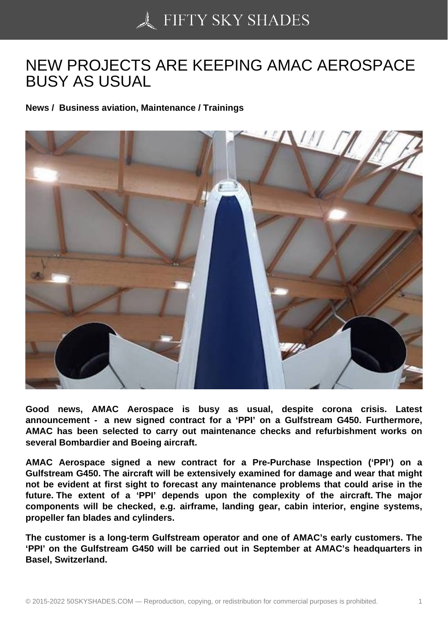## [NEW PROJECTS ARE](https://50skyshades.com) KEEPING AMAC AEROSPACE BUSY AS USUAL

News / Business aviation, Maintenance / Trainings

Good news, AMAC Aerospace is busy as usual, despite corona crisis. Latest announcement - a new signed contract for a 'PPI' on a Gulfstream G450. Furthermore, AMAC has been selected to carry out maintenance checks and refurbishment works on several Bombardier and Boeing aircraft.

AMAC Aerospace signed a new contract for a Pre-Purchase Inspection ('PPI') on a Gulfstream G450. The aircraft will be extensively examined for damage and wear that might not be evident at first sight to forecast any maintenance problems that could arise in the future. The extent of a 'PPI' depends upon the complexity of the aircraft. The major components will be checked, e.g. airframe, landing gear, cabin interior, engine systems, propeller fan blades and cylinders.

The customer is a long-term Gulfstream operator and one of AMAC's early customers. The 'PPI' on the Gulfstream G450 will be carried out in September at AMAC's headquarters in Basel, Switzerland.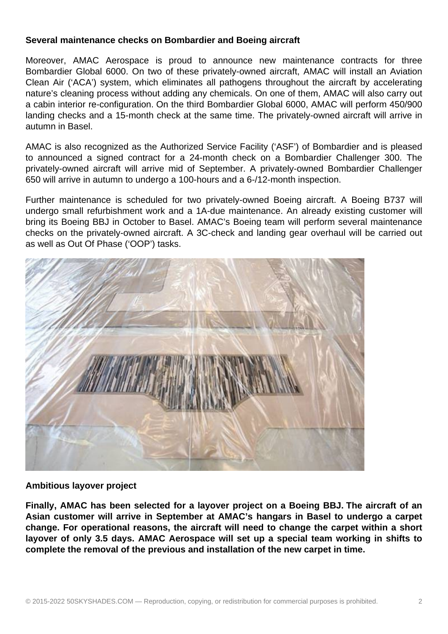## **Several maintenance checks on Bombardier and Boeing aircraft**

Moreover, AMAC Aerospace is proud to announce new maintenance contracts for three Bombardier Global 6000. On two of these privately-owned aircraft, AMAC will install an Aviation Clean Air ('ACA') system, which eliminates all pathogens throughout the aircraft by accelerating nature's cleaning process without adding any chemicals. On one of them, AMAC will also carry out a cabin interior re-configuration. On the third Bombardier Global 6000, AMAC will perform 450/900 landing checks and a 15-month check at the same time. The privately-owned aircraft will arrive in autumn in Basel.

AMAC is also recognized as the Authorized Service Facility ('ASF') of Bombardier and is pleased to announced a signed contract for a 24-month check on a Bombardier Challenger 300. The privately-owned aircraft will arrive mid of September. A privately-owned Bombardier Challenger 650 will arrive in autumn to undergo a 100-hours and a 6-/12-month inspection.

Further maintenance is scheduled for two privately-owned Boeing aircraft. A Boeing B737 will undergo small refurbishment work and a 1A-due maintenance. An already existing customer will bring its Boeing BBJ in October to Basel. AMAC's Boeing team will perform several maintenance checks on the privately-owned aircraft. A 3C-check and landing gear overhaul will be carried out as well as Out Of Phase ('OOP') tasks.



## **Ambitious layover project**

**Finally, AMAC has been selected for a layover project on a Boeing BBJ. The aircraft of an Asian customer will arrive in September at AMAC's hangars in Basel to undergo a carpet change. For operational reasons, the aircraft will need to change the carpet within a short layover of only 3.5 days. AMAC Aerospace will set up a special team working in shifts to complete the removal of the previous and installation of the new carpet in time.**